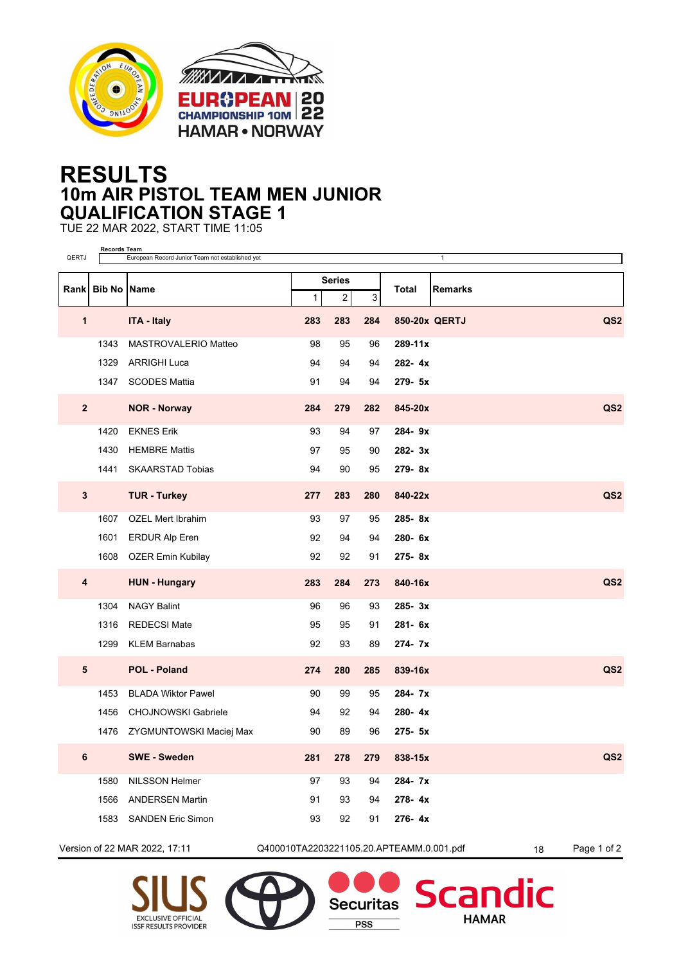

## **RESULTS 10m AIR PISTOL TEAM MEN JUNIOR QUALIFICATION STAGE 1**

TUE 22 MAR 2022, START TIME 11:05

| QERTJ          | <b>Records Team</b><br>European Record Junior Team not established yet<br>$\mathbf{1}$ |                            |             |                         |     |                         |                 |  |  |
|----------------|----------------------------------------------------------------------------------------|----------------------------|-------------|-------------------------|-----|-------------------------|-----------------|--|--|
|                |                                                                                        |                            |             | <b>Series</b>           |     |                         |                 |  |  |
|                | Rank Bib No Name                                                                       |                            | $\mathbf 1$ | $\overline{\mathbf{c}}$ | 3   | Total<br><b>Remarks</b> |                 |  |  |
| 1              |                                                                                        | <b>ITA - Italy</b>         | 283         | 283                     | 284 | 850-20x QERTJ           | QS <sub>2</sub> |  |  |
|                | 1343                                                                                   | MASTROVALERIO Matteo       | 98          | 95                      | 96  | 289-11x                 |                 |  |  |
|                | 1329                                                                                   | <b>ARRIGHI Luca</b>        | 94          | 94                      | 94  | 282-4x                  |                 |  |  |
|                | 1347                                                                                   | <b>SCODES Mattia</b>       | 91          | 94                      | 94  | 279- 5x                 |                 |  |  |
| $\overline{2}$ |                                                                                        | <b>NOR - Norway</b>        | 284         | 279                     | 282 | 845-20x                 | QS <sub>2</sub> |  |  |
|                | 1420                                                                                   | <b>EKNES Erik</b>          | 93          | 94                      | 97  | 284-9x                  |                 |  |  |
|                | 1430                                                                                   | <b>HEMBRE Mattis</b>       | 97          | 95                      | 90  | 282-3x                  |                 |  |  |
|                | 1441                                                                                   | <b>SKAARSTAD Tobias</b>    | 94          | 90                      | 95  | 279-8x                  |                 |  |  |
| $\mathbf{3}$   |                                                                                        | <b>TUR - Turkey</b>        | 277         | 283                     | 280 | 840-22x                 | QS <sub>2</sub> |  |  |
|                | 1607                                                                                   | <b>OZEL Mert Ibrahim</b>   | 93          | 97                      | 95  | 285-8x                  |                 |  |  |
|                | 1601                                                                                   | <b>ERDUR Alp Eren</b>      | 92          | 94                      | 94  | 280-6x                  |                 |  |  |
|                | 1608                                                                                   | OZER Emin Kubilay          | 92          | 92                      | 91  | 275-8x                  |                 |  |  |
| 4              |                                                                                        | <b>HUN - Hungary</b>       | 283         | 284                     | 273 | 840-16x                 | QS <sub>2</sub> |  |  |
|                | 1304                                                                                   | <b>NAGY Balint</b>         | 96          | 96                      | 93  | $285 - 3x$              |                 |  |  |
|                | 1316                                                                                   | REDECSI Mate               | 95          | 95                      | 91  | 281-6x                  |                 |  |  |
|                | 1299                                                                                   | <b>KLEM Barnabas</b>       | 92          | 93                      | 89  | 274-7x                  |                 |  |  |
| 5              |                                                                                        | <b>POL - Poland</b>        | 274         | 280                     | 285 | 839-16x                 | QS <sub>2</sub> |  |  |
|                | 1453                                                                                   | <b>BLADA Wiktor Pawel</b>  | 90          | 99                      | 95  | 284-7x                  |                 |  |  |
|                | 1456                                                                                   | <b>CHOJNOWSKI Gabriele</b> | 94          | 92                      | 94  | 280-4x                  |                 |  |  |
|                | 1476                                                                                   | ZYGMUNTOWSKI Maciej Max    | 90          | 89                      | 96  | 275- 5x                 |                 |  |  |
| 6              |                                                                                        | <b>SWE - Sweden</b>        | 281         | 278                     | 279 | 838-15x                 | QS <sub>2</sub> |  |  |
|                | 1580                                                                                   | NILSSON Helmer             | 97          | 93                      | 94  | 284-7x                  |                 |  |  |
|                | 1566                                                                                   | <b>ANDERSEN Martin</b>     | 91          | 93                      | 94  | 278-4x                  |                 |  |  |
|                | 1583                                                                                   | <b>SANDEN Eric Simon</b>   | 93          | 92                      | 91  | 276-4x                  |                 |  |  |
|                |                                                                                        |                            |             |                         |     |                         |                 |  |  |

Version of 22 MAR 2022, 17:11 Q400010TA2203221105.20.APTEAMM.0.001.pdf 18 Page 1 of 2

**Securitas** 

**PSS** 

dic

**Scan** 

**HAMAR**